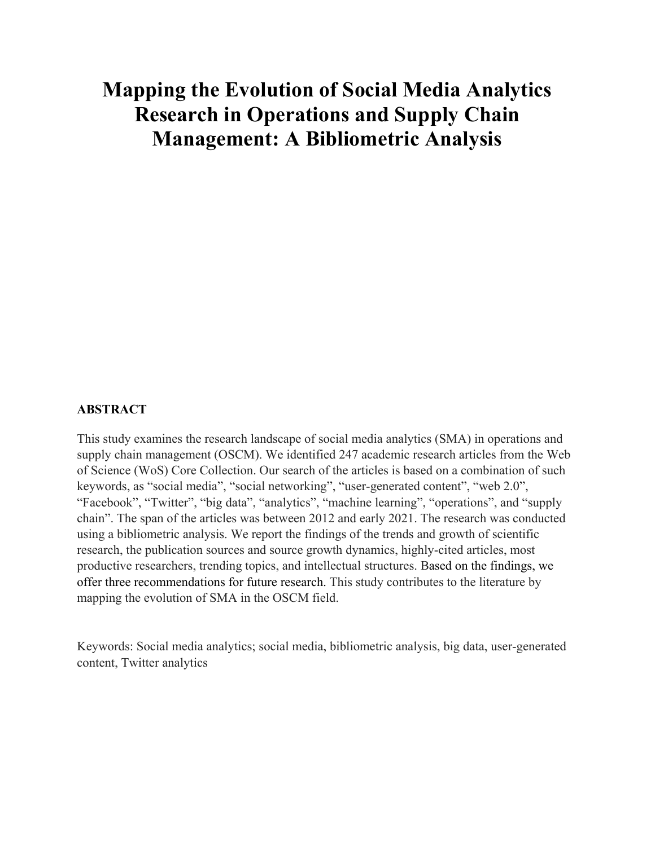# **Mapping the Evolution of Social Media Analytics Research in Operations and Supply Chain Management: A Bibliometric Analysis**

## **ABSTRACT**

This study examines the research landscape of social media analytics (SMA) in operations and supply chain management (OSCM). We identified 247 academic research articles from the Web of Science (WoS) Core Collection. Our search of the articles is based on a combination of such keywords, as "social media", "social networking", "user-generated content", "web 2.0", "Facebook", "Twitter", "big data", "analytics", "machine learning", "operations", and "supply chain". The span of the articles was between 2012 and early 2021. The research was conducted using a bibliometric analysis. We report the findings of the trends and growth of scientific research, the publication sources and source growth dynamics, highly-cited articles, most productive researchers, trending topics, and intellectual structures. Based on the findings, we offer three recommendations for future research. This study contributes to the literature by mapping the evolution of SMA in the OSCM field.

Keywords: Social media analytics; social media, bibliometric analysis, big data, user-generated content, Twitter analytics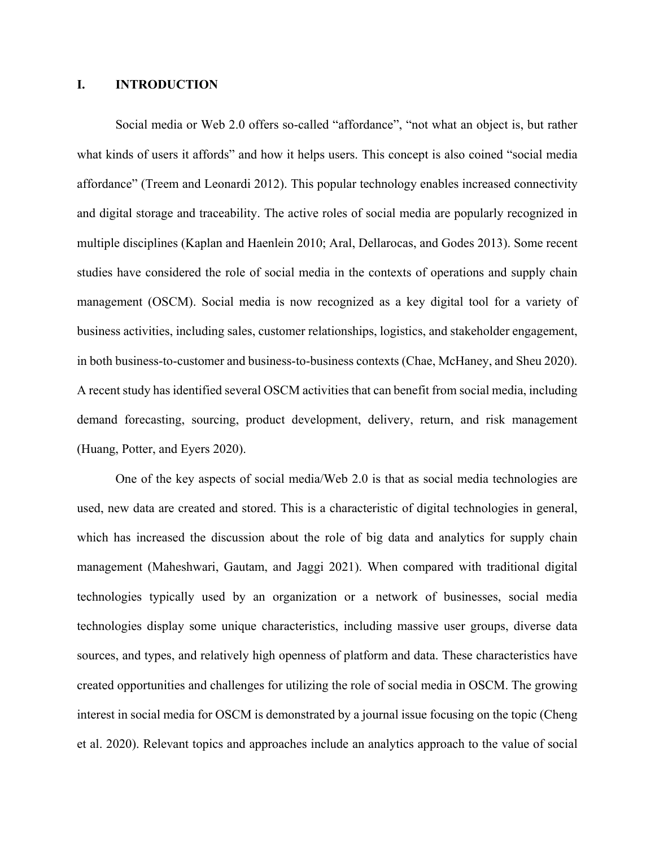#### **I. INTRODUCTION**

Social media or Web 2.0 offers so-called "affordance", "not what an object is, but rather what kinds of users it affords" and how it helps users. This concept is also coined "social media affordance" (Treem and Leonardi 2012). This popular technology enables increased connectivity and digital storage and traceability. The active roles of social media are popularly recognized in multiple disciplines (Kaplan and Haenlein 2010; Aral, Dellarocas, and Godes 2013). Some recent studies have considered the role of social media in the contexts of operations and supply chain management (OSCM). Social media is now recognized as a key digital tool for a variety of business activities, including sales, customer relationships, logistics, and stakeholder engagement, in both business-to-customer and business-to-business contexts (Chae, McHaney, and Sheu 2020). A recent study has identified several OSCM activities that can benefit from social media, including demand forecasting, sourcing, product development, delivery, return, and risk management (Huang, Potter, and Eyers 2020).

One of the key aspects of social media/Web 2.0 is that as social media technologies are used, new data are created and stored. This is a characteristic of digital technologies in general, which has increased the discussion about the role of big data and analytics for supply chain management (Maheshwari, Gautam, and Jaggi 2021). When compared with traditional digital technologies typically used by an organization or a network of businesses, social media technologies display some unique characteristics, including massive user groups, diverse data sources, and types, and relatively high openness of platform and data. These characteristics have created opportunities and challenges for utilizing the role of social media in OSCM. The growing interest in social media for OSCM is demonstrated by a journal issue focusing on the topic (Cheng et al. 2020). Relevant topics and approaches include an analytics approach to the value of social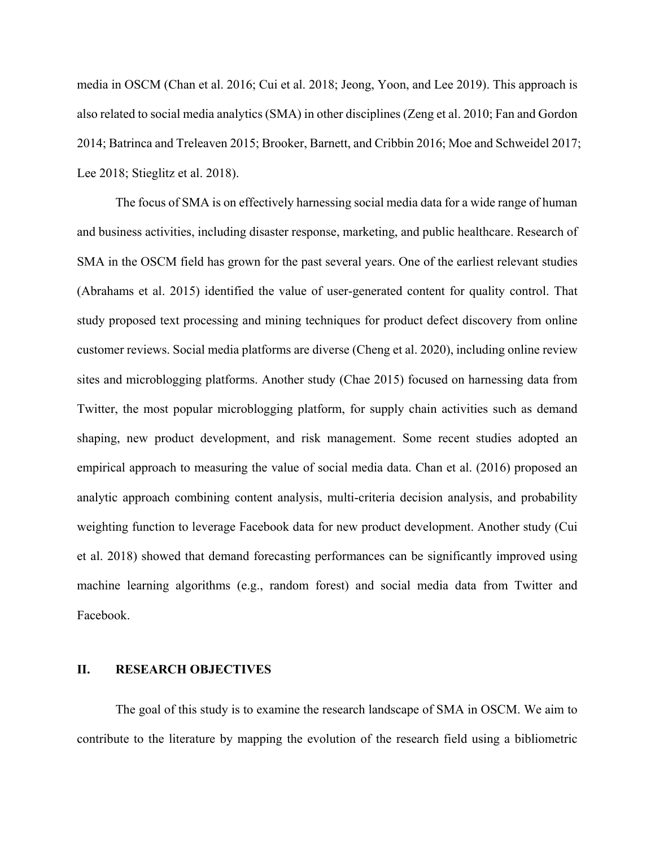media in OSCM (Chan et al. 2016; Cui et al. 2018; Jeong, Yoon, and Lee 2019). This approach is also related to social media analytics (SMA) in other disciplines (Zeng et al. 2010; Fan and Gordon 2014; Batrinca and Treleaven 2015; Brooker, Barnett, and Cribbin 2016; Moe and Schweidel 2017; Lee 2018; Stieglitz et al. 2018).

The focus of SMA is on effectively harnessing social media data for a wide range of human and business activities, including disaster response, marketing, and public healthcare. Research of SMA in the OSCM field has grown for the past several years. One of the earliest relevant studies (Abrahams et al. 2015) identified the value of user-generated content for quality control. That study proposed text processing and mining techniques for product defect discovery from online customer reviews. Social media platforms are diverse (Cheng et al. 2020), including online review sites and microblogging platforms. Another study (Chae 2015) focused on harnessing data from Twitter, the most popular microblogging platform, for supply chain activities such as demand shaping, new product development, and risk management. Some recent studies adopted an empirical approach to measuring the value of social media data. Chan et al. (2016) proposed an analytic approach combining content analysis, multi-criteria decision analysis, and probability weighting function to leverage Facebook data for new product development. Another study (Cui et al. 2018) showed that demand forecasting performances can be significantly improved using machine learning algorithms (e.g., random forest) and social media data from Twitter and Facebook.

# **II. RESEARCH OBJECTIVES**

The goal of this study is to examine the research landscape of SMA in OSCM. We aim to contribute to the literature by mapping the evolution of the research field using a bibliometric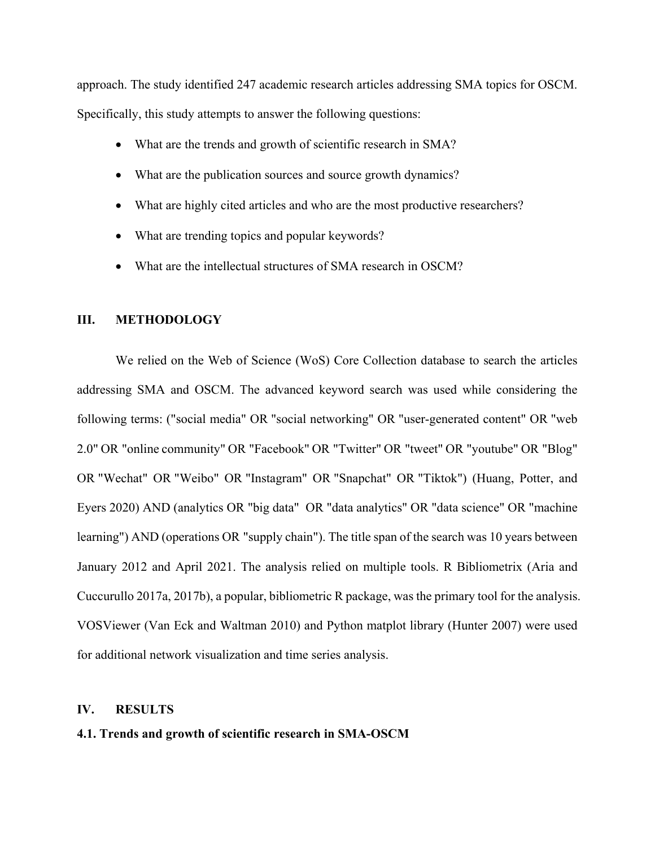approach. The study identified 247 academic research articles addressing SMA topics for OSCM. Specifically, this study attempts to answer the following questions:

- What are the trends and growth of scientific research in SMA?
- What are the publication sources and source growth dynamics?
- What are highly cited articles and who are the most productive researchers?
- What are trending topics and popular keywords?
- What are the intellectual structures of SMA research in OSCM?

### **III. METHODOLOGY**

We relied on the Web of Science (WoS) Core Collection database to search the articles addressing SMA and OSCM. The advanced keyword search was used while considering the following terms: ("social media" OR "social networking" OR "user-generated content" OR "web 2.0" OR "online community" OR "Facebook" OR "Twitter" OR "tweet" OR "youtube" OR "Blog" OR "Wechat" OR "Weibo" OR "Instagram" OR "Snapchat" OR "Tiktok") (Huang, Potter, and Eyers 2020) AND (analytics OR "big data" OR "data analytics" OR "data science" OR "machine learning") AND (operations OR "supply chain"). The title span of the search was 10 years between January 2012 and April 2021. The analysis relied on multiple tools. R Bibliometrix (Aria and Cuccurullo 2017a, 2017b), a popular, bibliometric R package, was the primary tool for the analysis. VOSViewer (Van Eck and Waltman 2010) and Python matplot library (Hunter 2007) were used for additional network visualization and time series analysis.

#### **IV. RESULTS**

## **4.1. Trends and growth of scientific research in SMA-OSCM**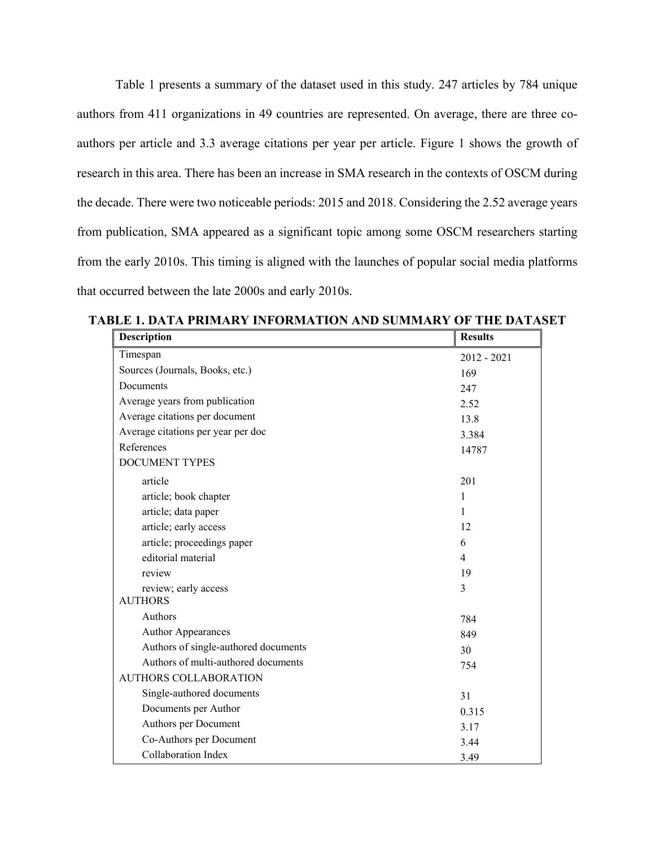Table 1 presents a summary of the dataset used in this study. 247 articles by 784 unique authors from 411 organizations in 49 countries are represented. On average, there are three coauthors per article and 3.3 average citations per year per article. Figure 1 shows the growth of research in this area. There has been an increase in SMA research in the contexts of OSCM during the decade. There were two noticeable periods: 2015 and 2018. Considering the 2.52 average years from publication, SMA appeared as a significant topic among some OSCM researchers starting from the early 2010s. This timing is aligned with the launches of popular social media platforms that occurred between the late 2000s and early 2010s.

| <b>Description</b>                   | <b>Results</b> |
|--------------------------------------|----------------|
| Timespan                             | $2012 - 2021$  |
| Sources (Journals, Books, etc.)      | 169            |
| Documents                            | 247            |
| Average years from publication       | 2.52           |
| Average citations per document       | 13.8           |
| Average citations per year per doc   | 3.384          |
| References                           | 14787          |
| <b>DOCUMENT TYPES</b>                |                |
| article                              | 201            |
| article; book chapter                | 1              |
| article; data paper                  | 1              |
| article; early access                | 12             |
| article; proceedings paper           | 6              |
| editorial material                   | $\overline{4}$ |
| review                               | 19             |
| review; early access                 | 3              |
| <b>AUTHORS</b>                       |                |
| Authors                              | 784            |
| <b>Author Appearances</b>            | 849            |
| Authors of single-authored documents | 30             |
| Authors of multi-authored documents  | 754            |
| <b>AUTHORS COLLABORATION</b>         |                |
| Single-authored documents            | 31             |
| Documents per Author                 | 0.315          |
| Authors per Document                 | 3.17           |
| Co-Authors per Document              | 3.44           |
| <b>Collaboration Index</b>           | 3.49           |

**TABLE 1. DATA PRIMARY INFORMATION AND SUMMARY OF THE DATASET**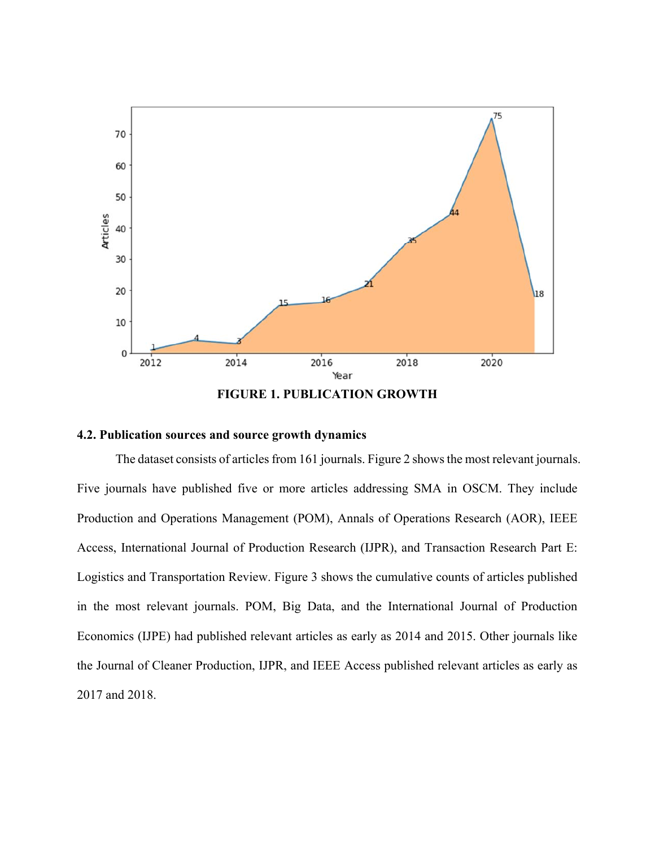

**FIGURE 1. PUBLICATION GROWTH** 

## **4.2. Publication sources and source growth dynamics**

The dataset consists of articles from 161 journals. Figure 2 shows the most relevant journals. Five journals have published five or more articles addressing SMA in OSCM. They include Production and Operations Management (POM), Annals of Operations Research (AOR), IEEE Access, International Journal of Production Research (IJPR), and Transaction Research Part E: Logistics and Transportation Review. Figure 3 shows the cumulative counts of articles published in the most relevant journals. POM, Big Data, and the International Journal of Production Economics (IJPE) had published relevant articles as early as 2014 and 2015. Other journals like the Journal of Cleaner Production, IJPR, and IEEE Access published relevant articles as early as 2017 and 2018.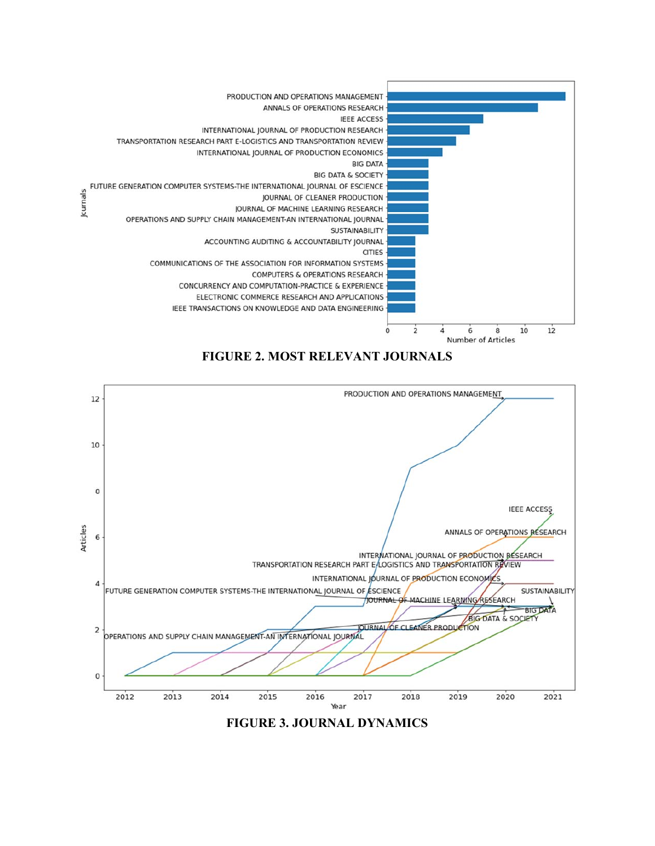

**FIGURE 2. MOST RELEVANT JOURNALS** 



**FIGURE 3. JOURNAL DYNAMICS**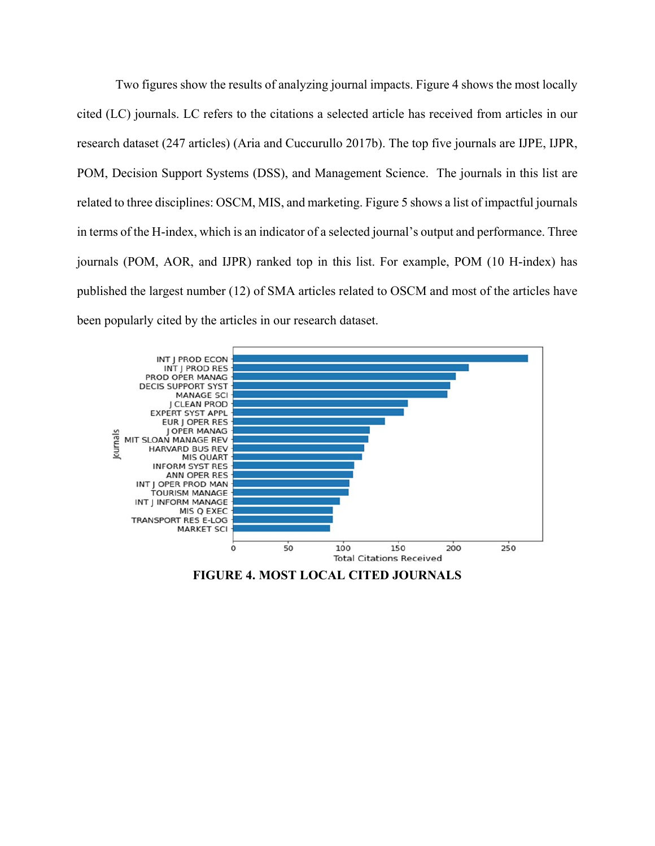Two figures show the results of analyzing journal impacts. Figure 4 shows the most locally cited (LC) journals. LC refers to the citations a selected article has received from articles in our research dataset (247 articles) (Aria and Cuccurullo 2017b). The top five journals are IJPE, IJPR, POM, Decision Support Systems (DSS), and Management Science. The journals in this list are related to three disciplines: OSCM, MIS, and marketing. Figure 5 shows a list of impactful journals in terms of the H-index, which is an indicator of a selected journal's output and performance. Three journals (POM, AOR, and IJPR) ranked top in this list. For example, POM (10 H-index) has published the largest number (12) of SMA articles related to OSCM and most of the articles have been popularly cited by the articles in our research dataset.



**FIGURE 4. MOST LOCAL CITED JOURNALS**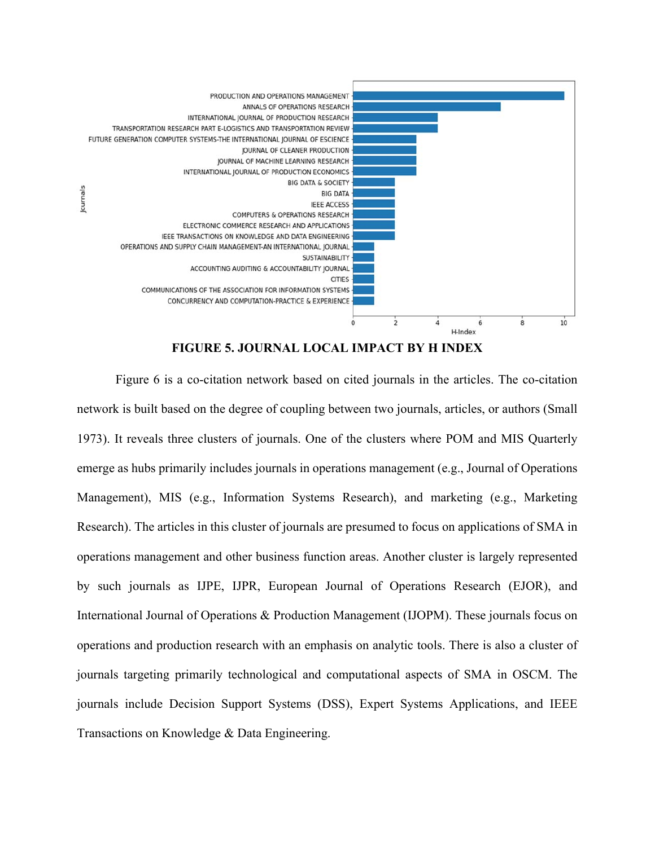

**FIGURE 5. JOURNAL LOCAL IMPACT BY H INDEX**

Figure 6 is a co-citation network based on cited journals in the articles. The co-citation network is built based on the degree of coupling between two journals, articles, or authors (Small 1973). It reveals three clusters of journals. One of the clusters where POM and MIS Quarterly emerge as hubs primarily includes journals in operations management (e.g., Journal of Operations Management), MIS (e.g., Information Systems Research), and marketing (e.g., Marketing Research). The articles in this cluster of journals are presumed to focus on applications of SMA in operations management and other business function areas. Another cluster is largely represented by such journals as IJPE, IJPR, European Journal of Operations Research (EJOR), and International Journal of Operations & Production Management (IJOPM). These journals focus on operations and production research with an emphasis on analytic tools. There is also a cluster of journals targeting primarily technological and computational aspects of SMA in OSCM. The journals include Decision Support Systems (DSS), Expert Systems Applications, and IEEE Transactions on Knowledge & Data Engineering.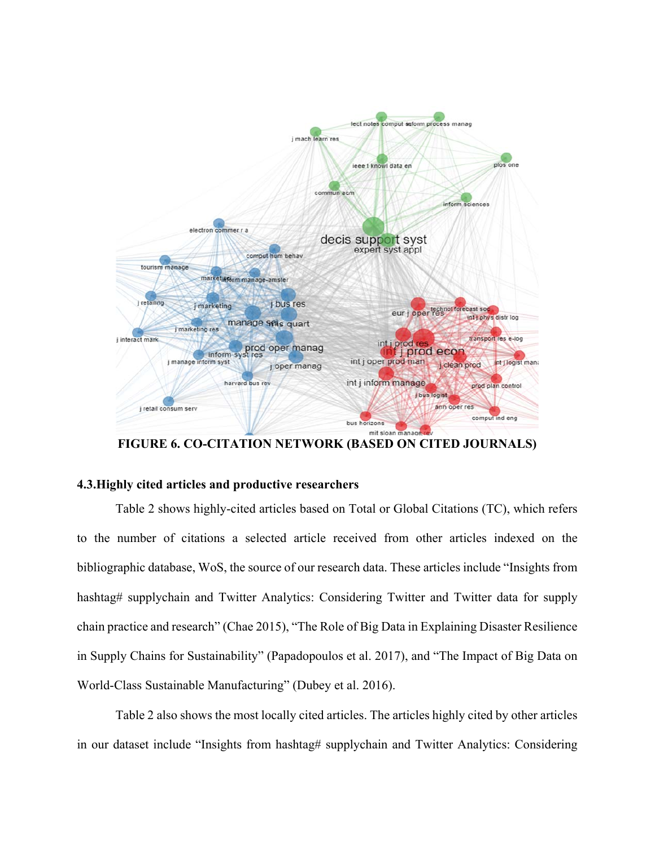

**FIGURE 6. CO-CITATION NETWORK (BASED ON CITED JOURNALS)**

# **4.3.Highly cited articles and productive researchers**

Table 2 shows highly-cited articles based on Total or Global Citations (TC), which refers to the number of citations a selected article received from other articles indexed on the bibliographic database, WoS, the source of our research data. These articles include "Insights from hashtag# supplychain and Twitter Analytics: Considering Twitter and Twitter data for supply chain practice and research" (Chae 2015), "The Role of Big Data in Explaining Disaster Resilience in Supply Chains for Sustainability" (Papadopoulos et al. 2017), and "The Impact of Big Data on World-Class Sustainable Manufacturing" (Dubey et al. 2016).

Table 2 also shows the most locally cited articles. The articles highly cited by other articles in our dataset include "Insights from hashtag# supplychain and Twitter Analytics: Considering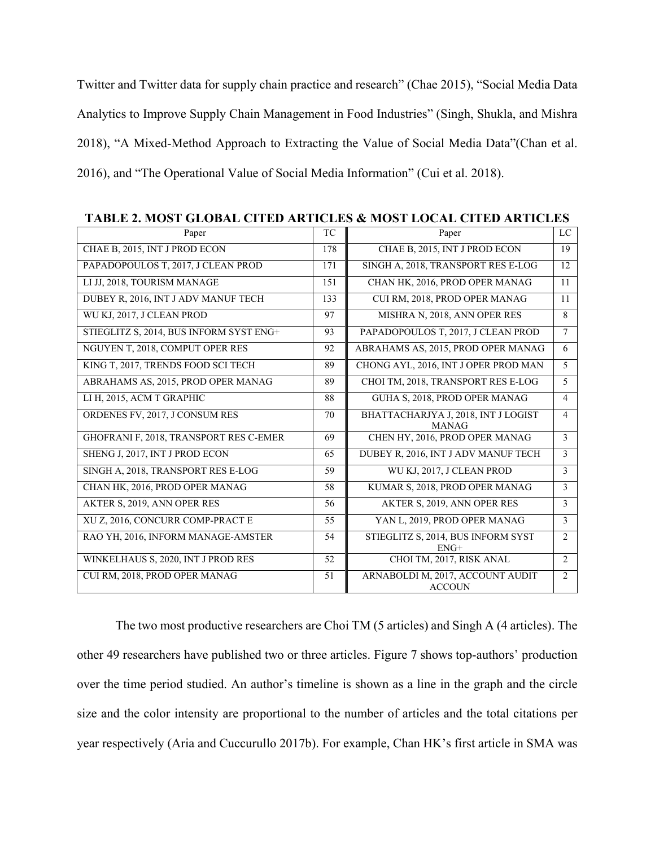Twitter and Twitter data for supply chain practice and research" (Chae 2015), "Social Media Data Analytics to Improve Supply Chain Management in Food Industries" (Singh, Shukla, and Mishra 2018), "A Mixed-Method Approach to Extracting the Value of Social Media Data"(Chan et al. 2016), and "The Operational Value of Social Media Information" (Cui et al. 2018).

| Paper                                   | TC  | Paper                                               | LC             |
|-----------------------------------------|-----|-----------------------------------------------------|----------------|
| CHAE B, 2015, INT J PROD ECON           | 178 | CHAE B, 2015, INT J PROD ECON                       | 19             |
| PAPADOPOULOS T, 2017, J CLEAN PROD      | 171 | SINGH A, 2018, TRANSPORT RES E-LOG                  | 12             |
| LI JJ, 2018, TOURISM MANAGE             | 151 | CHAN HK, 2016, PROD OPER MANAG                      | 11             |
| DUBEY R, 2016, INT J ADV MANUF TECH     | 133 | CUI RM, 2018, PROD OPER MANAG                       | 11             |
| WU KJ, 2017, J CLEAN PROD               | 97  | MISHRA N, 2018, ANN OPER RES                        | 8              |
| STIEGLITZ S, 2014, BUS INFORM SYST ENG+ | 93  | PAPADOPOULOS T, 2017, J CLEAN PROD                  | $\tau$         |
| NGUYEN T, 2018, COMPUT OPER RES         | 92  | ABRAHAMS AS, 2015, PROD OPER MANAG                  | 6              |
| KING T, 2017, TRENDS FOOD SCI TECH      | 89  | CHONG AYL, 2016, INT J OPER PROD MAN                | 5              |
| ABRAHAMS AS, 2015, PROD OPER MANAG      | 89  | CHOI TM, 2018, TRANSPORT RES E-LOG                  | 5              |
| LI H, 2015, ACM T GRAPHIC               | 88  | GUHA S, 2018, PROD OPER MANAG                       | $\overline{4}$ |
| ORDENES FV, 2017, J CONSUM RES          | 70  | BHATTACHARJYA J, 2018, INT J LOGIST<br><b>MANAG</b> | $\overline{4}$ |
| GHOFRANI F, 2018, TRANSPORT RES C-EMER  | 69  | CHEN HY, 2016, PROD OPER MANAG                      | 3              |
| SHENG J, 2017, INT J PROD ECON          | 65  | DUBEY R, 2016, INT J ADV MANUF TECH                 | 3              |
| SINGH A, 2018, TRANSPORT RES E-LOG      | 59  | WU KJ, 2017, J CLEAN PROD                           | 3              |
| CHAN HK, 2016, PROD OPER MANAG          | 58  | KUMAR S, 2018, PROD OPER MANAG                      | 3              |
| AKTER S, 2019, ANN OPER RES             | 56  | AKTER S, 2019, ANN OPER RES                         | 3              |
| XU Z, 2016, CONCURR COMP-PRACT E        | 55  | YAN L, 2019, PROD OPER MANAG                        | 3              |
| RAO YH, 2016, INFORM MANAGE-AMSTER      | 54  | STIEGLITZ S, 2014, BUS INFORM SYST<br>$ENG+$        | $\overline{2}$ |
| WINKELHAUS S, 2020, INT J PROD RES      | 52  | CHOI TM, 2017, RISK ANAL                            | $\overline{2}$ |
| CUI RM, 2018, PROD OPER MANAG           | 51  | ARNABOLDI M, 2017, ACCOUNT AUDIT<br><b>ACCOUN</b>   | $\overline{2}$ |

**TABLE 2. MOST GLOBAL CITED ARTICLES & MOST LOCAL CITED ARTICLES**

The two most productive researchers are Choi TM (5 articles) and Singh A (4 articles). The other 49 researchers have published two or three articles. Figure 7 shows top-authors' production over the time period studied. An author's timeline is shown as a line in the graph and the circle size and the color intensity are proportional to the number of articles and the total citations per year respectively (Aria and Cuccurullo 2017b). For example, Chan HK's first article in SMA was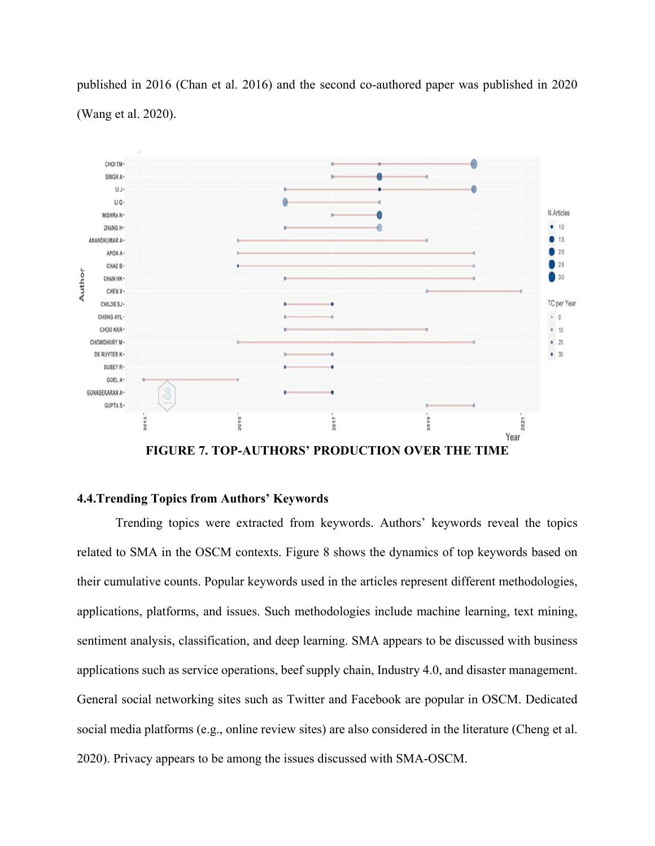published in 2016 (Chan et al. 2016) and the second co-authored paper was published in 2020 (Wang et al. 2020).



**FIGURE 7. TOP-AUTHORS' PRODUCTION OVER THE TIME** 

## **4.4.Trending Topics from Authors' Keywords**

Trending topics were extracted from keywords. Authors' keywords reveal the topics related to SMA in the OSCM contexts. Figure 8 shows the dynamics of top keywords based on their cumulative counts. Popular keywords used in the articles represent different methodologies, applications, platforms, and issues. Such methodologies include machine learning, text mining, sentiment analysis, classification, and deep learning. SMA appears to be discussed with business applications such as service operations, beef supply chain, Industry 4.0, and disaster management. General social networking sites such as Twitter and Facebook are popular in OSCM. Dedicated social media platforms (e.g., online review sites) are also considered in the literature (Cheng et al. 2020). Privacy appears to be among the issues discussed with SMA-OSCM.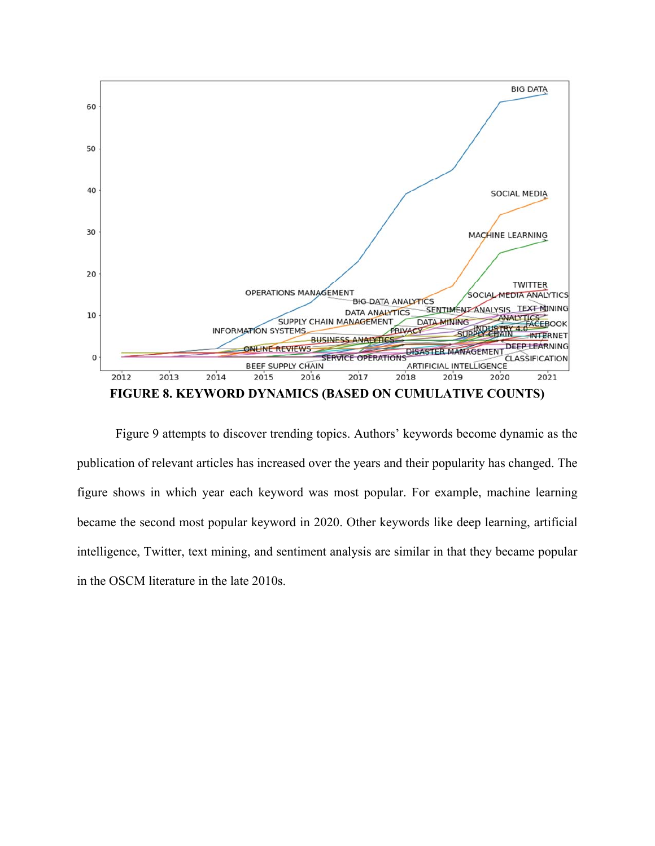

Figure 9 attempts to discover trending topics. Authors' keywords become dynamic as the publication of relevant articles has increased over the years and their popularity has changed. The figure shows in which year each keyword was most popular. For example, machine learning became the second most popular keyword in 2020. Other keywords like deep learning, artificial intelligence, Twitter, text mining, and sentiment analysis are similar in that they became popular in the OSCM literature in the late 2010s.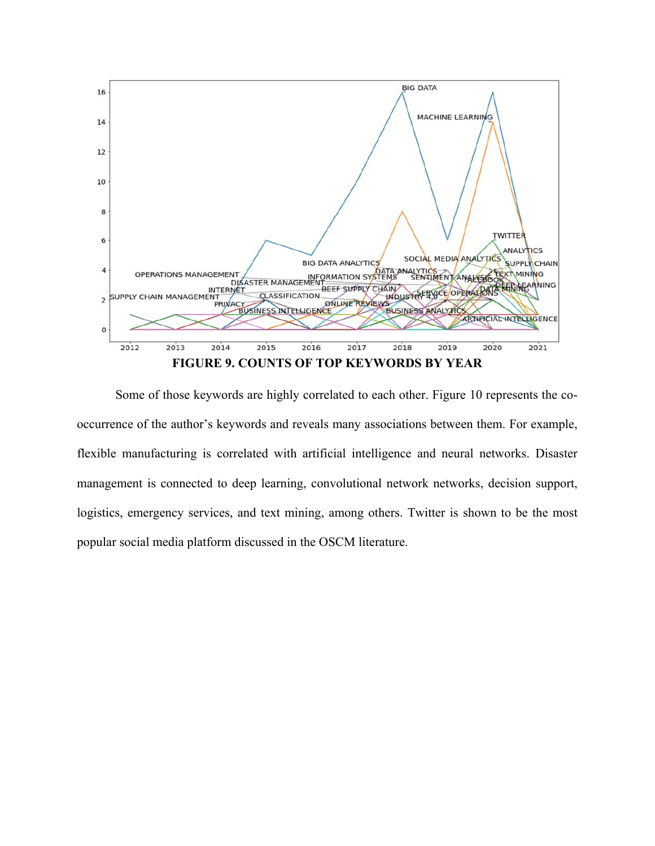

Some of those keywords are highly correlated to each other. Figure 10 represents the cooccurrence of the author's keywords and reveals many associations between them. For example, flexible manufacturing is correlated with artificial intelligence and neural networks. Disaster management is connected to deep learning, convolutional network networks, decision support, logistics, emergency services, and text mining, among others. Twitter is shown to be the most popular social media platform discussed in the OSCM literature.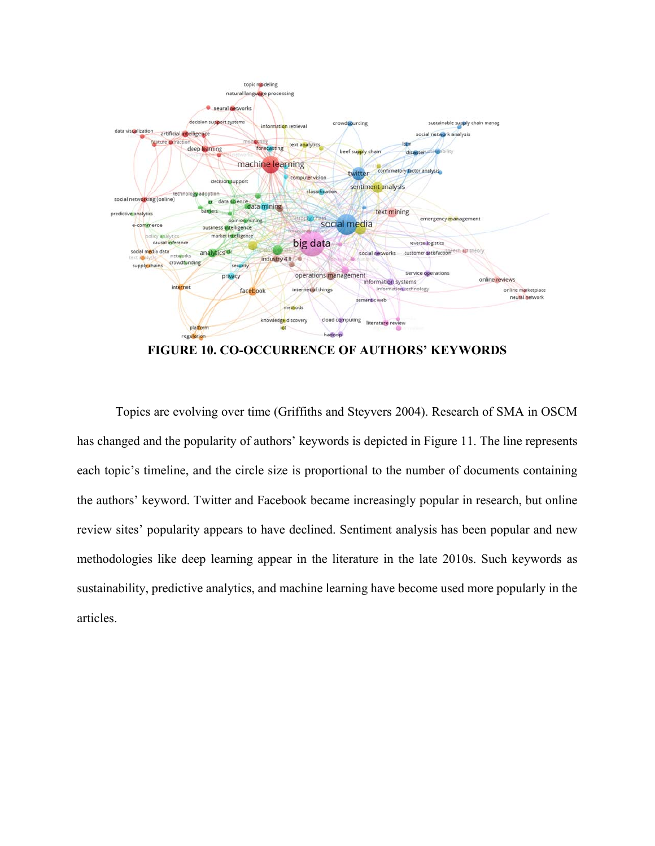

**FIGURE 10. CO-OCCURRENCE OF AUTHORS' KEYWORDS**

Topics are evolving over time (Griffiths and Steyvers 2004). Research of SMA in OSCM has changed and the popularity of authors' keywords is depicted in Figure 11. The line represents each topic's timeline, and the circle size is proportional to the number of documents containing the authors' keyword. Twitter and Facebook became increasingly popular in research, but online review sites' popularity appears to have declined. Sentiment analysis has been popular and new methodologies like deep learning appear in the literature in the late 2010s. Such keywords as sustainability, predictive analytics, and machine learning have become used more popularly in the articles.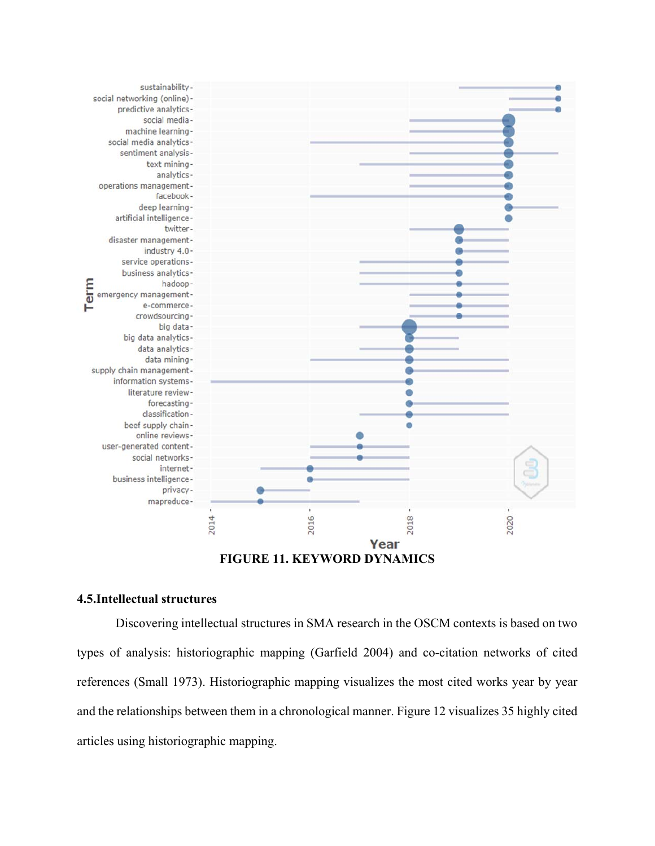

## **4.5.Intellectual structures**

Discovering intellectual structures in SMA research in the OSCM contexts is based on two types of analysis: historiographic mapping (Garfield 2004) and co-citation networks of cited references (Small 1973). Historiographic mapping visualizes the most cited works year by year and the relationships between them in a chronological manner. Figure 12 visualizes 35 highly cited articles using historiographic mapping.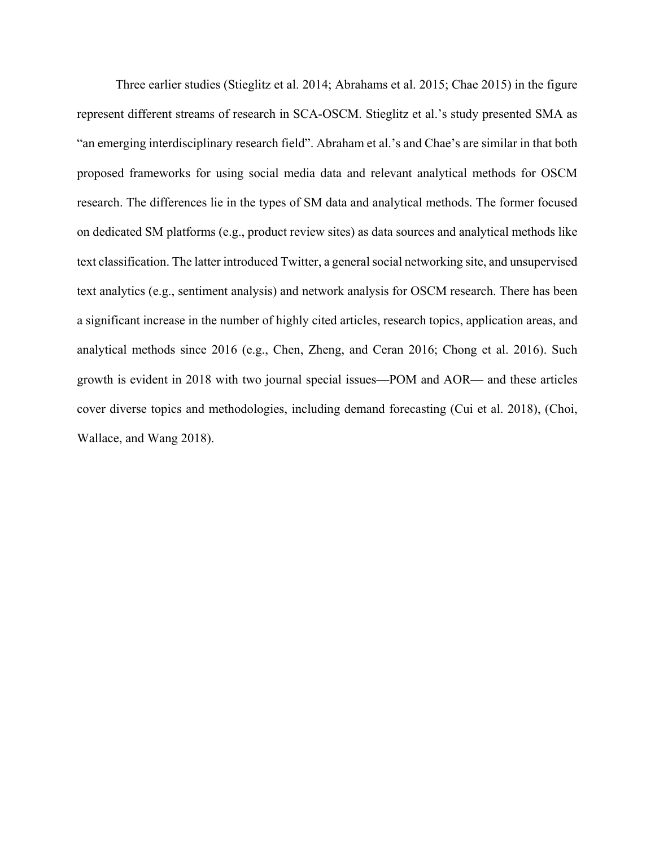Three earlier studies (Stieglitz et al. 2014; Abrahams et al. 2015; Chae 2015) in the figure represent different streams of research in SCA-OSCM. Stieglitz et al.'s study presented SMA as "an emerging interdisciplinary research field". Abraham et al.'s and Chae's are similar in that both proposed frameworks for using social media data and relevant analytical methods for OSCM research. The differences lie in the types of SM data and analytical methods. The former focused on dedicated SM platforms (e.g., product review sites) as data sources and analytical methods like text classification. The latter introduced Twitter, a general social networking site, and unsupervised text analytics (e.g., sentiment analysis) and network analysis for OSCM research. There has been a significant increase in the number of highly cited articles, research topics, application areas, and analytical methods since 2016 (e.g., Chen, Zheng, and Ceran 2016; Chong et al. 2016). Such growth is evident in 2018 with two journal special issues—POM and AOR— and these articles cover diverse topics and methodologies, including demand forecasting (Cui et al. 2018), (Choi, Wallace, and Wang 2018).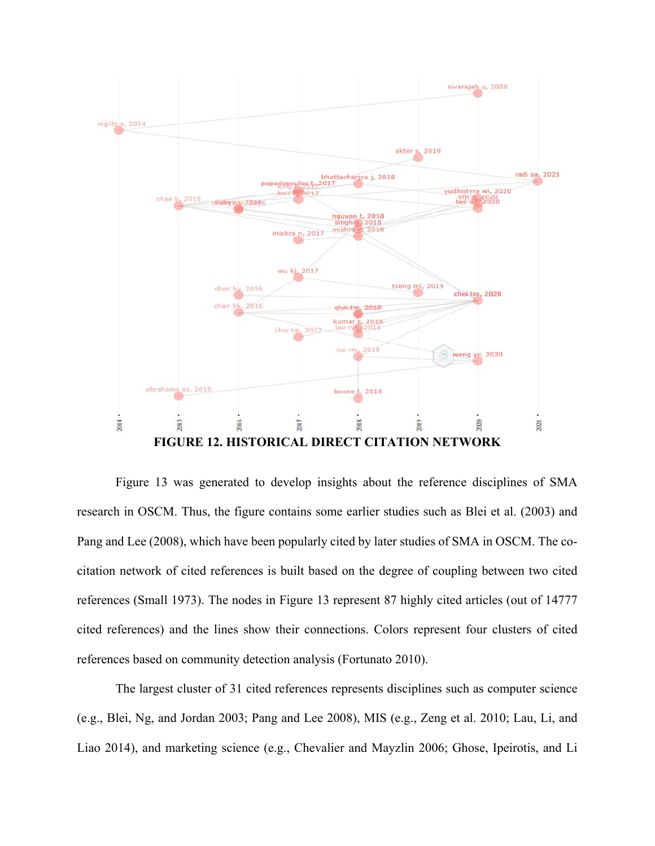

Figure 13 was generated to develop insights about the reference disciplines of SMA research in OSCM. Thus, the figure contains some earlier studies such as Blei et al. (2003) and Pang and Lee (2008), which have been popularly cited by later studies of SMA in OSCM. The cocitation network of cited references is built based on the degree of coupling between two cited references (Small 1973). The nodes in Figure 13 represent 87 highly cited articles (out of 14777 cited references) and the lines show their connections. Colors represent four clusters of cited references based on community detection analysis (Fortunato 2010).

The largest cluster of 31 cited references represents disciplines such as computer science (e.g., Blei, Ng, and Jordan 2003; Pang and Lee 2008), MIS (e.g., Zeng et al. 2010; Lau, Li, and Liao 2014), and marketing science (e.g., Chevalier and Mayzlin 2006; Ghose, Ipeirotis, and Li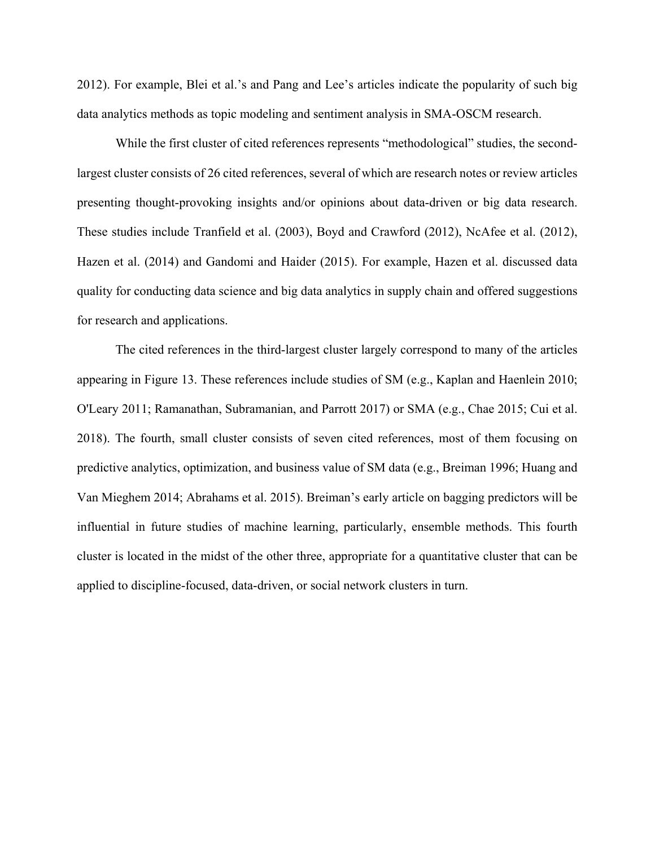2012). For example, Blei et al.'s and Pang and Lee's articles indicate the popularity of such big data analytics methods as topic modeling and sentiment analysis in SMA-OSCM research.

While the first cluster of cited references represents "methodological" studies, the secondlargest cluster consists of 26 cited references, several of which are research notes or review articles presenting thought-provoking insights and/or opinions about data-driven or big data research. These studies include Tranfield et al. (2003), Boyd and Crawford (2012), NcAfee et al. (2012), Hazen et al. (2014) and Gandomi and Haider (2015). For example, Hazen et al. discussed data quality for conducting data science and big data analytics in supply chain and offered suggestions for research and applications.

The cited references in the third-largest cluster largely correspond to many of the articles appearing in Figure 13. These references include studies of SM (e.g., Kaplan and Haenlein 2010; O'Leary 2011; Ramanathan, Subramanian, and Parrott 2017) or SMA (e.g., Chae 2015; Cui et al. 2018). The fourth, small cluster consists of seven cited references, most of them focusing on predictive analytics, optimization, and business value of SM data (e.g., Breiman 1996; Huang and Van Mieghem 2014; Abrahams et al. 2015). Breiman's early article on bagging predictors will be influential in future studies of machine learning, particularly, ensemble methods. This fourth cluster is located in the midst of the other three, appropriate for a quantitative cluster that can be applied to discipline-focused, data-driven, or social network clusters in turn.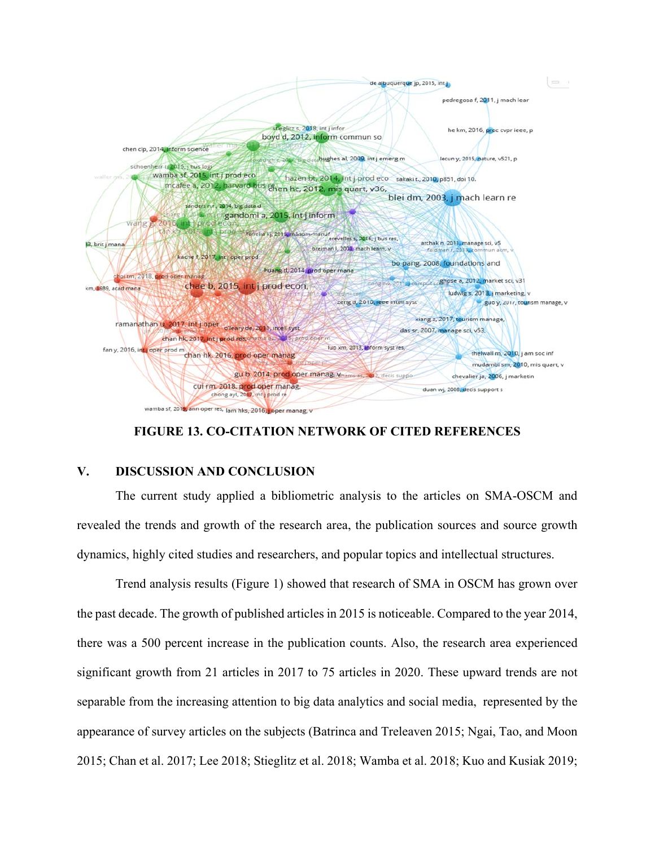

## **FIGURE 13. CO-CITATION NETWORK OF CITED REFERENCES**

# **V. DISCUSSION AND CONCLUSION**

The current study applied a bibliometric analysis to the articles on SMA-OSCM and revealed the trends and growth of the research area, the publication sources and source growth dynamics, highly cited studies and researchers, and popular topics and intellectual structures.

Trend analysis results (Figure 1) showed that research of SMA in OSCM has grown over the past decade. The growth of published articles in 2015 is noticeable. Compared to the year 2014, there was a 500 percent increase in the publication counts. Also, the research area experienced significant growth from 21 articles in 2017 to 75 articles in 2020. These upward trends are not separable from the increasing attention to big data analytics and social media, represented by the appearance of survey articles on the subjects (Batrinca and Treleaven 2015; Ngai, Tao, and Moon 2015; Chan et al. 2017; Lee 2018; Stieglitz et al. 2018; Wamba et al. 2018; Kuo and Kusiak 2019;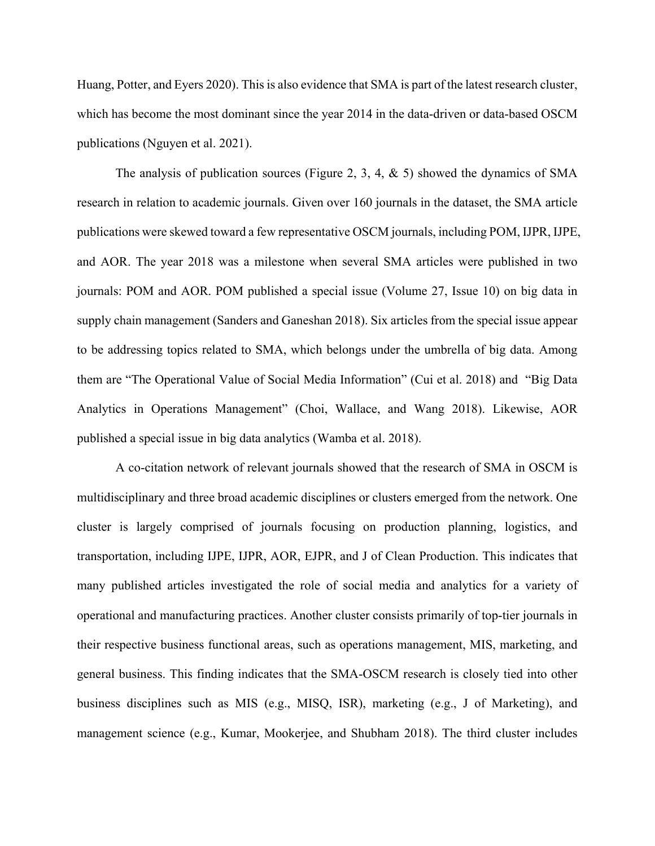Huang, Potter, and Eyers 2020). This is also evidence that SMA is part of the latest research cluster, which has become the most dominant since the year 2014 in the data-driven or data-based OSCM publications (Nguyen et al. 2021).

The analysis of publication sources (Figure 2, 3, 4, & 5) showed the dynamics of SMA research in relation to academic journals. Given over 160 journals in the dataset, the SMA article publications were skewed toward a few representative OSCM journals, including POM, IJPR, IJPE, and AOR. The year 2018 was a milestone when several SMA articles were published in two journals: POM and AOR. POM published a special issue (Volume 27, Issue 10) on big data in supply chain management (Sanders and Ganeshan 2018). Six articles from the special issue appear to be addressing topics related to SMA, which belongs under the umbrella of big data. Among them are "The Operational Value of Social Media Information" (Cui et al. 2018) and "Big Data Analytics in Operations Management" (Choi, Wallace, and Wang 2018). Likewise, AOR published a special issue in big data analytics (Wamba et al. 2018).

A co-citation network of relevant journals showed that the research of SMA in OSCM is multidisciplinary and three broad academic disciplines or clusters emerged from the network. One cluster is largely comprised of journals focusing on production planning, logistics, and transportation, including IJPE, IJPR, AOR, EJPR, and J of Clean Production. This indicates that many published articles investigated the role of social media and analytics for a variety of operational and manufacturing practices. Another cluster consists primarily of top-tier journals in their respective business functional areas, such as operations management, MIS, marketing, and general business. This finding indicates that the SMA-OSCM research is closely tied into other business disciplines such as MIS (e.g., MISQ, ISR), marketing (e.g., J of Marketing), and management science (e.g., Kumar, Mookerjee, and Shubham 2018). The third cluster includes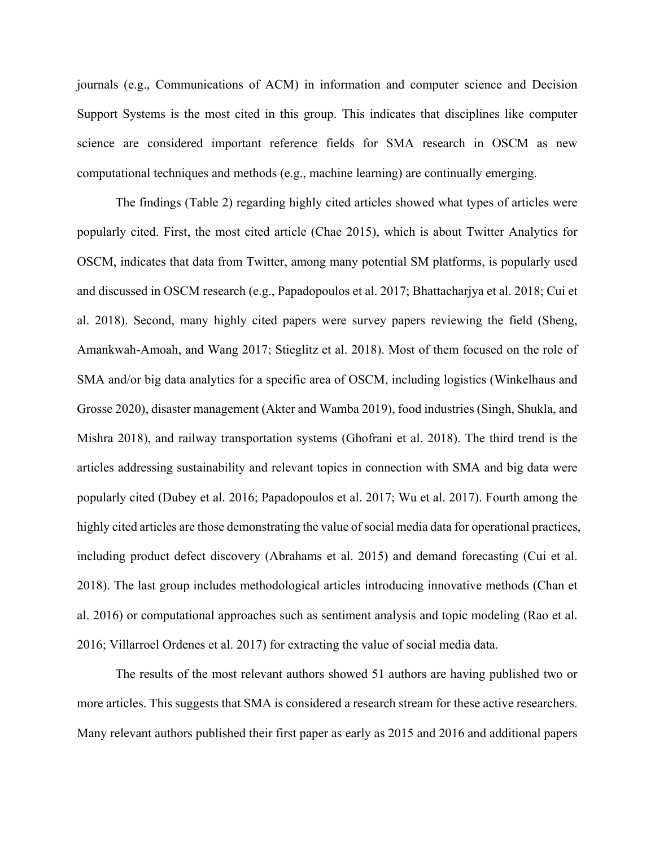journals (e.g., Communications of ACM) in information and computer science and Decision Support Systems is the most cited in this group. This indicates that disciplines like computer science are considered important reference fields for SMA research in OSCM as new computational techniques and methods (e.g., machine learning) are continually emerging.

The findings (Table 2) regarding highly cited articles showed what types of articles were popularly cited. First, the most cited article (Chae 2015), which is about Twitter Analytics for OSCM, indicates that data from Twitter, among many potential SM platforms, is popularly used and discussed in OSCM research (e.g., Papadopoulos et al. 2017; Bhattacharjya et al. 2018; Cui et al. 2018). Second, many highly cited papers were survey papers reviewing the field (Sheng, Amankwah-Amoah, and Wang 2017; Stieglitz et al. 2018). Most of them focused on the role of SMA and/or big data analytics for a specific area of OSCM, including logistics (Winkelhaus and Grosse 2020), disaster management (Akter and Wamba 2019), food industries (Singh, Shukla, and Mishra 2018), and railway transportation systems (Ghofrani et al. 2018). The third trend is the articles addressing sustainability and relevant topics in connection with SMA and big data were popularly cited (Dubey et al. 2016; Papadopoulos et al. 2017; Wu et al. 2017). Fourth among the highly cited articles are those demonstrating the value of social media data for operational practices, including product defect discovery (Abrahams et al. 2015) and demand forecasting (Cui et al. 2018). The last group includes methodological articles introducing innovative methods (Chan et al. 2016) or computational approaches such as sentiment analysis and topic modeling (Rao et al. 2016; Villarroel Ordenes et al. 2017) for extracting the value of social media data.

The results of the most relevant authors showed 51 authors are having published two or more articles. This suggests that SMA is considered a research stream for these active researchers. Many relevant authors published their first paper as early as 2015 and 2016 and additional papers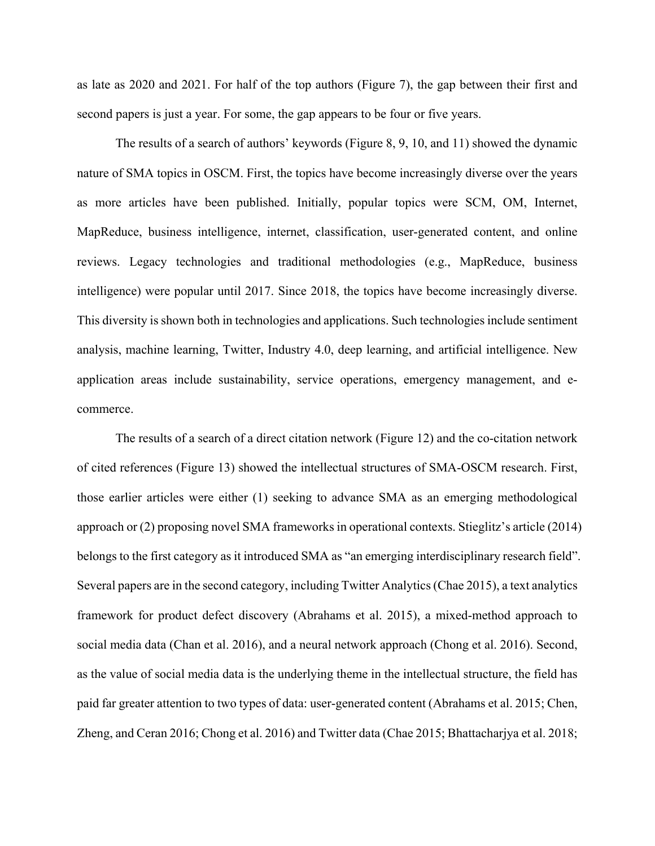as late as 2020 and 2021. For half of the top authors (Figure 7), the gap between their first and second papers is just a year. For some, the gap appears to be four or five years.

The results of a search of authors' keywords (Figure 8, 9, 10, and 11) showed the dynamic nature of SMA topics in OSCM. First, the topics have become increasingly diverse over the years as more articles have been published. Initially, popular topics were SCM, OM, Internet, MapReduce, business intelligence, internet, classification, user-generated content, and online reviews. Legacy technologies and traditional methodologies (e.g., MapReduce, business intelligence) were popular until 2017. Since 2018, the topics have become increasingly diverse. This diversity is shown both in technologies and applications. Such technologies include sentiment analysis, machine learning, Twitter, Industry 4.0, deep learning, and artificial intelligence. New application areas include sustainability, service operations, emergency management, and ecommerce.

The results of a search of a direct citation network (Figure 12) and the co-citation network of cited references (Figure 13) showed the intellectual structures of SMA-OSCM research. First, those earlier articles were either (1) seeking to advance SMA as an emerging methodological approach or (2) proposing novel SMA frameworks in operational contexts. Stieglitz's article (2014) belongs to the first category as it introduced SMA as "an emerging interdisciplinary research field". Several papers are in the second category, including Twitter Analytics (Chae 2015), a text analytics framework for product defect discovery (Abrahams et al. 2015), a mixed-method approach to social media data (Chan et al. 2016), and a neural network approach (Chong et al. 2016). Second, as the value of social media data is the underlying theme in the intellectual structure, the field has paid far greater attention to two types of data: user-generated content (Abrahams et al. 2015; Chen, Zheng, and Ceran 2016; Chong et al. 2016) and Twitter data (Chae 2015; Bhattacharjya et al. 2018;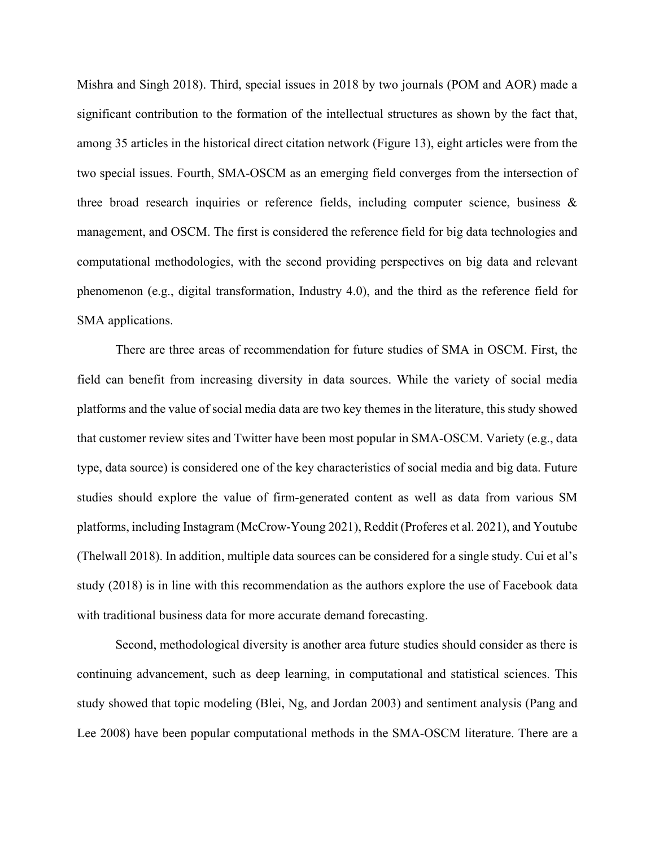Mishra and Singh 2018). Third, special issues in 2018 by two journals (POM and AOR) made a significant contribution to the formation of the intellectual structures as shown by the fact that, among 35 articles in the historical direct citation network (Figure 13), eight articles were from the two special issues. Fourth, SMA-OSCM as an emerging field converges from the intersection of three broad research inquiries or reference fields, including computer science, business  $\&$ management, and OSCM. The first is considered the reference field for big data technologies and computational methodologies, with the second providing perspectives on big data and relevant phenomenon (e.g., digital transformation, Industry 4.0), and the third as the reference field for SMA applications.

There are three areas of recommendation for future studies of SMA in OSCM. First, the field can benefit from increasing diversity in data sources. While the variety of social media platforms and the value of social media data are two key themes in the literature, this study showed that customer review sites and Twitter have been most popular in SMA-OSCM. Variety (e.g., data type, data source) is considered one of the key characteristics of social media and big data. Future studies should explore the value of firm-generated content as well as data from various SM platforms, including Instagram (McCrow-Young 2021), Reddit (Proferes et al. 2021), and Youtube (Thelwall 2018). In addition, multiple data sources can be considered for a single study. Cui et al's study (2018) is in line with this recommendation as the authors explore the use of Facebook data with traditional business data for more accurate demand forecasting.

Second, methodological diversity is another area future studies should consider as there is continuing advancement, such as deep learning, in computational and statistical sciences. This study showed that topic modeling (Blei, Ng, and Jordan 2003) and sentiment analysis (Pang and Lee 2008) have been popular computational methods in the SMA-OSCM literature. There are a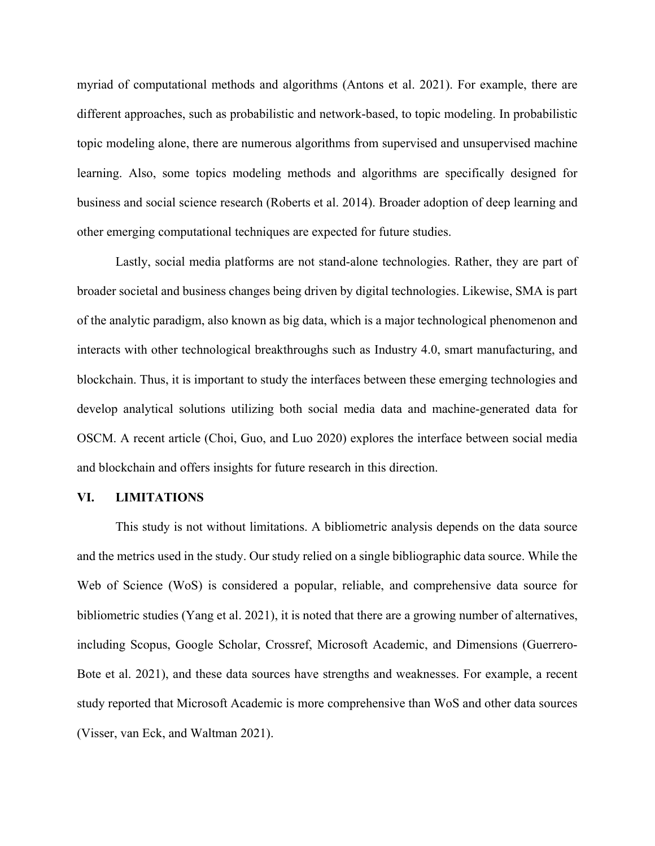myriad of computational methods and algorithms (Antons et al. 2021). For example, there are different approaches, such as probabilistic and network-based, to topic modeling. In probabilistic topic modeling alone, there are numerous algorithms from supervised and unsupervised machine learning. Also, some topics modeling methods and algorithms are specifically designed for business and social science research (Roberts et al. 2014). Broader adoption of deep learning and other emerging computational techniques are expected for future studies.

Lastly, social media platforms are not stand-alone technologies. Rather, they are part of broader societal and business changes being driven by digital technologies. Likewise, SMA is part of the analytic paradigm, also known as big data, which is a major technological phenomenon and interacts with other technological breakthroughs such as Industry 4.0, smart manufacturing, and blockchain. Thus, it is important to study the interfaces between these emerging technologies and develop analytical solutions utilizing both social media data and machine-generated data for OSCM. A recent article (Choi, Guo, and Luo 2020) explores the interface between social media and blockchain and offers insights for future research in this direction.

#### **VI. LIMITATIONS**

This study is not without limitations. A bibliometric analysis depends on the data source and the metrics used in the study. Our study relied on a single bibliographic data source. While the Web of Science (WoS) is considered a popular, reliable, and comprehensive data source for bibliometric studies (Yang et al. 2021), it is noted that there are a growing number of alternatives, including Scopus, Google Scholar, Crossref, Microsoft Academic, and Dimensions (Guerrero-Bote et al. 2021), and these data sources have strengths and weaknesses. For example, a recent study reported that Microsoft Academic is more comprehensive than WoS and other data sources (Visser, van Eck, and Waltman 2021).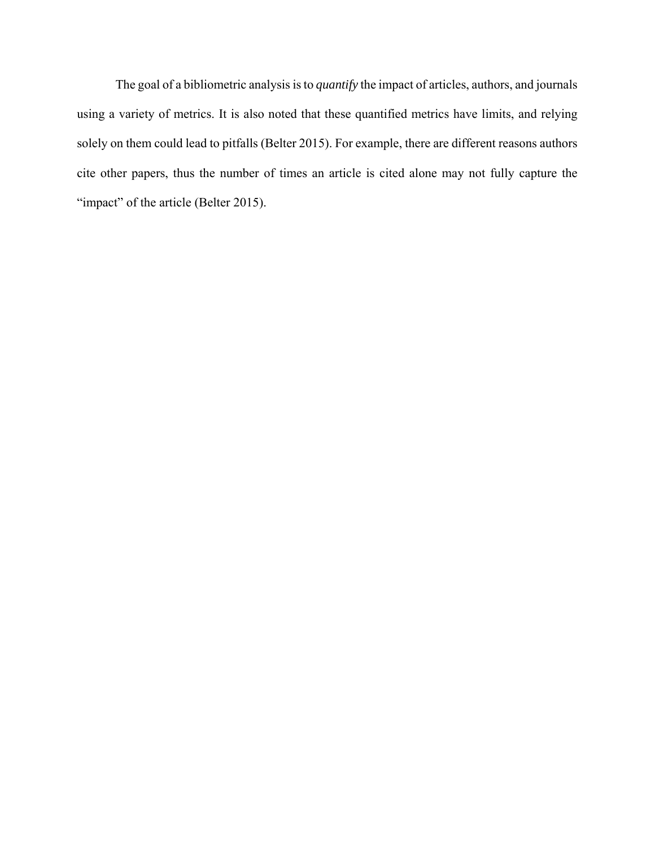The goal of a bibliometric analysis is to *quantify* the impact of articles, authors, and journals using a variety of metrics. It is also noted that these quantified metrics have limits, and relying solely on them could lead to pitfalls (Belter 2015). For example, there are different reasons authors cite other papers, thus the number of times an article is cited alone may not fully capture the "impact" of the article (Belter 2015).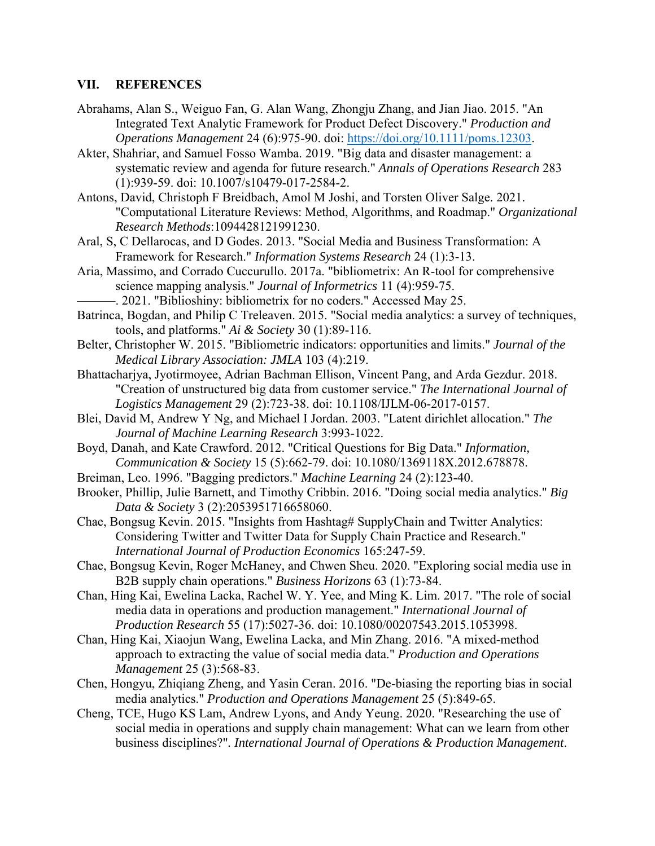## **VII. REFERENCES**

- Abrahams, Alan S., Weiguo Fan, G. Alan Wang, Zhongju Zhang, and Jian Jiao. 2015. "An Integrated Text Analytic Framework for Product Defect Discovery." *Production and Operations Management* 24 (6):975-90. doi: https://doi.org/10.1111/poms.12303.
- Akter, Shahriar, and Samuel Fosso Wamba. 2019. "Big data and disaster management: a systematic review and agenda for future research." *Annals of Operations Research* 283 (1):939-59. doi: 10.1007/s10479-017-2584-2.
- Antons, David, Christoph F Breidbach, Amol M Joshi, and Torsten Oliver Salge. 2021. "Computational Literature Reviews: Method, Algorithms, and Roadmap." *Organizational Research Methods*:1094428121991230.
- Aral, S, C Dellarocas, and D Godes. 2013. "Social Media and Business Transformation: A Framework for Research." *Information Systems Research* 24 (1):3-13.
- Aria, Massimo, and Corrado Cuccurullo. 2017a. "bibliometrix: An R-tool for comprehensive science mapping analysis." *Journal of Informetrics* 11 (4):959-75.
	- -. 2021. "Biblioshiny: bibliometrix for no coders." Accessed May 25.
- Batrinca, Bogdan, and Philip C Treleaven. 2015. "Social media analytics: a survey of techniques, tools, and platforms." *Ai & Society* 30 (1):89-116.
- Belter, Christopher W. 2015. "Bibliometric indicators: opportunities and limits." *Journal of the Medical Library Association: JMLA* 103 (4):219.
- Bhattacharjya, Jyotirmoyee, Adrian Bachman Ellison, Vincent Pang, and Arda Gezdur. 2018. "Creation of unstructured big data from customer service." *The International Journal of Logistics Management* 29 (2):723-38. doi: 10.1108/IJLM-06-2017-0157.
- Blei, David M, Andrew Y Ng, and Michael I Jordan. 2003. "Latent dirichlet allocation." *The Journal of Machine Learning Research* 3:993-1022.
- Boyd, Danah, and Kate Crawford. 2012. "Critical Questions for Big Data." *Information, Communication & Society* 15 (5):662-79. doi: 10.1080/1369118X.2012.678878.
- Breiman, Leo. 1996. "Bagging predictors." *Machine Learning* 24 (2):123-40.
- Brooker, Phillip, Julie Barnett, and Timothy Cribbin. 2016. "Doing social media analytics." *Big Data & Society* 3 (2):2053951716658060.
- Chae, Bongsug Kevin. 2015. "Insights from Hashtag# SupplyChain and Twitter Analytics: Considering Twitter and Twitter Data for Supply Chain Practice and Research." *International Journal of Production Economics* 165:247-59.
- Chae, Bongsug Kevin, Roger McHaney, and Chwen Sheu. 2020. "Exploring social media use in B2B supply chain operations." *Business Horizons* 63 (1):73-84.
- Chan, Hing Kai, Ewelina Lacka, Rachel W. Y. Yee, and Ming K. Lim. 2017. "The role of social media data in operations and production management." *International Journal of Production Research* 55 (17):5027-36. doi: 10.1080/00207543.2015.1053998.
- Chan, Hing Kai, Xiaojun Wang, Ewelina Lacka, and Min Zhang. 2016. "A mixed‐method approach to extracting the value of social media data." *Production and Operations Management* 25 (3):568-83.
- Chen, Hongyu, Zhiqiang Zheng, and Yasin Ceran. 2016. "De‐biasing the reporting bias in social media analytics." *Production and Operations Management* 25 (5):849-65.
- Cheng, TCE, Hugo KS Lam, Andrew Lyons, and Andy Yeung. 2020. "Researching the use of social media in operations and supply chain management: What can we learn from other business disciplines?"*. International Journal of Operations & Production Management*.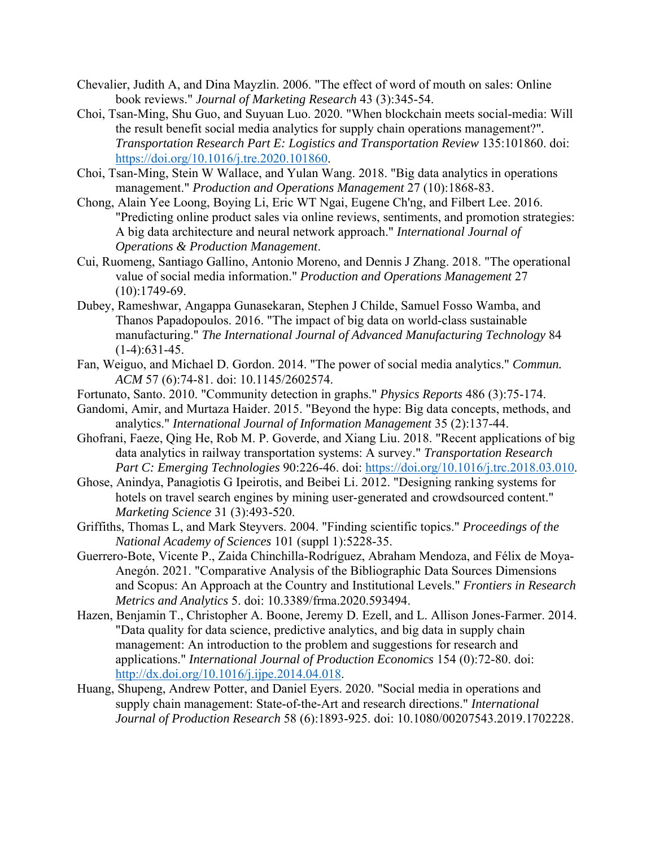- Chevalier, Judith A, and Dina Mayzlin. 2006. "The effect of word of mouth on sales: Online book reviews." *Journal of Marketing Research* 43 (3):345-54.
- Choi, Tsan-Ming, Shu Guo, and Suyuan Luo. 2020. "When blockchain meets social-media: Will the result benefit social media analytics for supply chain operations management?"*. Transportation Research Part E: Logistics and Transportation Review* 135:101860. doi: https://doi.org/10.1016/j.tre.2020.101860.
- Choi, Tsan‐Ming, Stein W Wallace, and Yulan Wang. 2018. "Big data analytics in operations management." *Production and Operations Management* 27 (10):1868-83.
- Chong, Alain Yee Loong, Boying Li, Eric WT Ngai, Eugene Ch'ng, and Filbert Lee. 2016. "Predicting online product sales via online reviews, sentiments, and promotion strategies: A big data architecture and neural network approach." *International Journal of Operations & Production Management*.
- Cui, Ruomeng, Santiago Gallino, Antonio Moreno, and Dennis J Zhang. 2018. "The operational value of social media information." *Production and Operations Management* 27 (10):1749-69.
- Dubey, Rameshwar, Angappa Gunasekaran, Stephen J Childe, Samuel Fosso Wamba, and Thanos Papadopoulos. 2016. "The impact of big data on world-class sustainable manufacturing." *The International Journal of Advanced Manufacturing Technology* 84  $(1-4):631-45.$
- Fan, Weiguo, and Michael D. Gordon. 2014. "The power of social media analytics." *Commun. ACM* 57 (6):74-81. doi: 10.1145/2602574.
- Fortunato, Santo. 2010. "Community detection in graphs." *Physics Reports* 486 (3):75-174.
- Gandomi, Amir, and Murtaza Haider. 2015. "Beyond the hype: Big data concepts, methods, and analytics." *International Journal of Information Management* 35 (2):137-44.
- Ghofrani, Faeze, Qing He, Rob M. P. Goverde, and Xiang Liu. 2018. "Recent applications of big data analytics in railway transportation systems: A survey." *Transportation Research Part C: Emerging Technologies* 90:226-46. doi: https://doi.org/10.1016/j.trc.2018.03.010.
- Ghose, Anindya, Panagiotis G Ipeirotis, and Beibei Li. 2012. "Designing ranking systems for hotels on travel search engines by mining user-generated and crowdsourced content." *Marketing Science* 31 (3):493-520.
- Griffiths, Thomas L, and Mark Steyvers. 2004. "Finding scientific topics." *Proceedings of the National Academy of Sciences* 101 (suppl 1):5228-35.
- Guerrero-Bote, Vicente P., Zaida Chinchilla-Rodríguez, Abraham Mendoza, and Félix de Moya-Anegón. 2021. "Comparative Analysis of the Bibliographic Data Sources Dimensions and Scopus: An Approach at the Country and Institutional Levels." *Frontiers in Research Metrics and Analytics* 5. doi: 10.3389/frma.2020.593494.
- Hazen, Benjamin T., Christopher A. Boone, Jeremy D. Ezell, and L. Allison Jones-Farmer. 2014. "Data quality for data science, predictive analytics, and big data in supply chain management: An introduction to the problem and suggestions for research and applications." *International Journal of Production Economics* 154 (0):72-80. doi: http://dx.doi.org/10.1016/j.ijpe.2014.04.018.
- Huang, Shupeng, Andrew Potter, and Daniel Eyers. 2020. "Social media in operations and supply chain management: State-of-the-Art and research directions." *International Journal of Production Research* 58 (6):1893-925. doi: 10.1080/00207543.2019.1702228.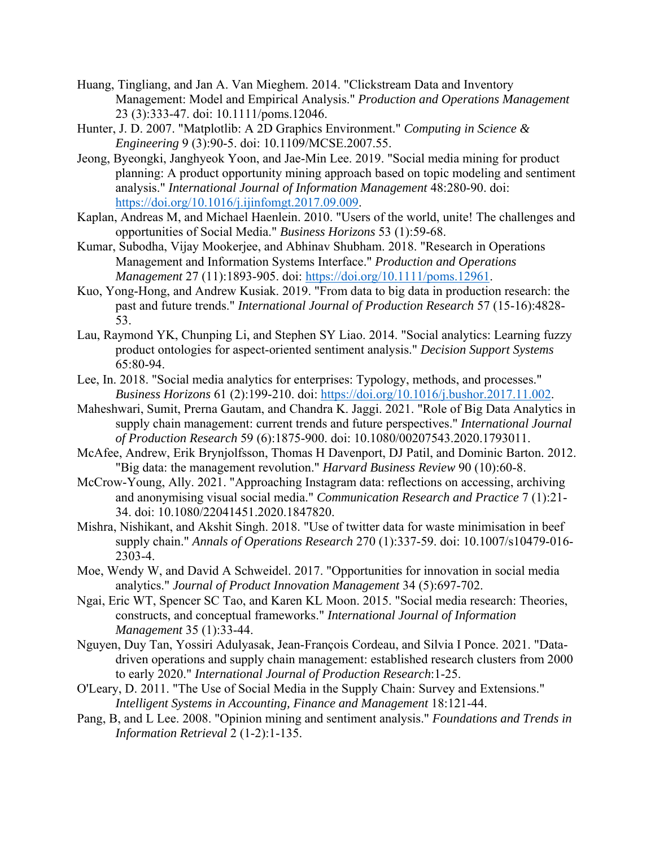- Huang, Tingliang, and Jan A. Van Mieghem. 2014. "Clickstream Data and Inventory Management: Model and Empirical Analysis." *Production and Operations Management* 23 (3):333-47. doi: 10.1111/poms.12046.
- Hunter, J. D. 2007. "Matplotlib: A 2D Graphics Environment." *Computing in Science & Engineering* 9 (3):90-5. doi: 10.1109/MCSE.2007.55.
- Jeong, Byeongki, Janghyeok Yoon, and Jae-Min Lee. 2019. "Social media mining for product planning: A product opportunity mining approach based on topic modeling and sentiment analysis." *International Journal of Information Management* 48:280-90. doi: https://doi.org/10.1016/j.ijinfomgt.2017.09.009.
- Kaplan, Andreas M, and Michael Haenlein. 2010. "Users of the world, unite! The challenges and opportunities of Social Media." *Business Horizons* 53 (1):59-68.
- Kumar, Subodha, Vijay Mookerjee, and Abhinav Shubham. 2018. "Research in Operations Management and Information Systems Interface." *Production and Operations Management* 27 (11):1893-905. doi: https://doi.org/10.1111/poms.12961.
- Kuo, Yong-Hong, and Andrew Kusiak. 2019. "From data to big data in production research: the past and future trends." *International Journal of Production Research* 57 (15-16):4828- 53.
- Lau, Raymond YK, Chunping Li, and Stephen SY Liao. 2014. "Social analytics: Learning fuzzy product ontologies for aspect-oriented sentiment analysis." *Decision Support Systems* 65:80-94.
- Lee, In. 2018. "Social media analytics for enterprises: Typology, methods, and processes." *Business Horizons* 61 (2):199-210. doi: https://doi.org/10.1016/j.bushor.2017.11.002.
- Maheshwari, Sumit, Prerna Gautam, and Chandra K. Jaggi. 2021. "Role of Big Data Analytics in supply chain management: current trends and future perspectives." *International Journal of Production Research* 59 (6):1875-900. doi: 10.1080/00207543.2020.1793011.
- McAfee, Andrew, Erik Brynjolfsson, Thomas H Davenport, DJ Patil, and Dominic Barton. 2012. "Big data: the management revolution." *Harvard Business Review* 90 (10):60-8.
- McCrow-Young, Ally. 2021. "Approaching Instagram data: reflections on accessing, archiving and anonymising visual social media." *Communication Research and Practice* 7 (1):21- 34. doi: 10.1080/22041451.2020.1847820.
- Mishra, Nishikant, and Akshit Singh. 2018. "Use of twitter data for waste minimisation in beef supply chain." *Annals of Operations Research* 270 (1):337-59. doi: 10.1007/s10479-016- 2303-4.
- Moe, Wendy W, and David A Schweidel. 2017. "Opportunities for innovation in social media analytics." *Journal of Product Innovation Management* 34 (5):697-702.
- Ngai, Eric WT, Spencer SC Tao, and Karen KL Moon. 2015. "Social media research: Theories, constructs, and conceptual frameworks." *International Journal of Information Management* 35 (1):33-44.
- Nguyen, Duy Tan, Yossiri Adulyasak, Jean-François Cordeau, and Silvia I Ponce. 2021. "Datadriven operations and supply chain management: established research clusters from 2000 to early 2020." *International Journal of Production Research*:1-25.
- O'Leary, D. 2011. "The Use of Social Media in the Supply Chain: Survey and Extensions." *Intelligent Systems in Accounting, Finance and Management* 18:121-44.
- Pang, B, and L Lee. 2008. "Opinion mining and sentiment analysis." *Foundations and Trends in Information Retrieval* 2 (1-2):1-135.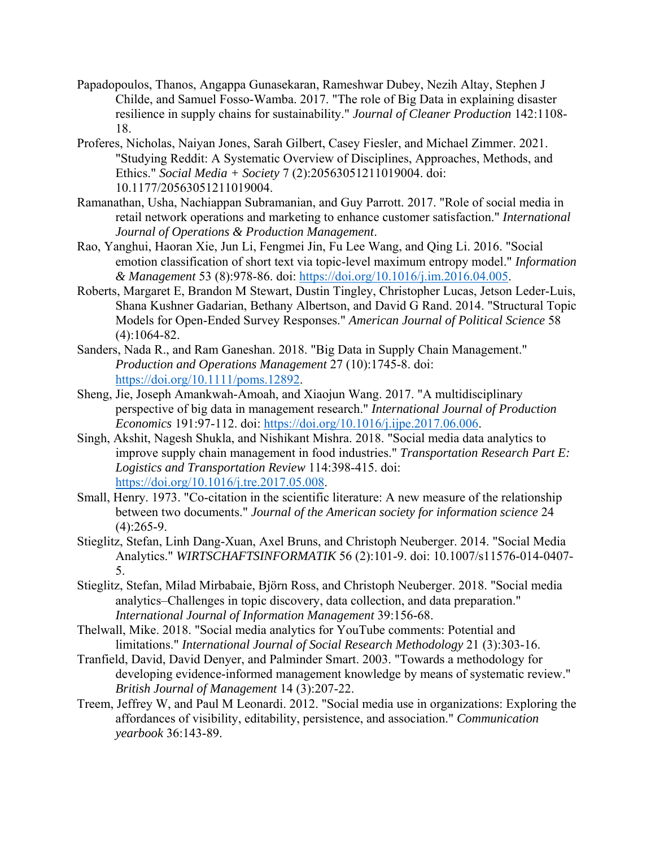- Papadopoulos, Thanos, Angappa Gunasekaran, Rameshwar Dubey, Nezih Altay, Stephen J Childe, and Samuel Fosso-Wamba. 2017. "The role of Big Data in explaining disaster resilience in supply chains for sustainability." *Journal of Cleaner Production* 142:1108- 18.
- Proferes, Nicholas, Naiyan Jones, Sarah Gilbert, Casey Fiesler, and Michael Zimmer. 2021. "Studying Reddit: A Systematic Overview of Disciplines, Approaches, Methods, and Ethics." *Social Media + Society* 7 (2):20563051211019004. doi: 10.1177/20563051211019004.
- Ramanathan, Usha, Nachiappan Subramanian, and Guy Parrott. 2017. "Role of social media in retail network operations and marketing to enhance customer satisfaction." *International Journal of Operations & Production Management*.
- Rao, Yanghui, Haoran Xie, Jun Li, Fengmei Jin, Fu Lee Wang, and Qing Li. 2016. "Social emotion classification of short text via topic-level maximum entropy model." *Information & Management* 53 (8):978-86. doi: https://doi.org/10.1016/j.im.2016.04.005.
- Roberts, Margaret E, Brandon M Stewart, Dustin Tingley, Christopher Lucas, Jetson Leder‐Luis, Shana Kushner Gadarian, Bethany Albertson, and David G Rand. 2014. "Structural Topic Models for Open‐Ended Survey Responses." *American Journal of Political Science* 58 (4):1064-82.
- Sanders, Nada R., and Ram Ganeshan. 2018. "Big Data in Supply Chain Management." *Production and Operations Management* 27 (10):1745-8. doi: https://doi.org/10.1111/poms.12892.
- Sheng, Jie, Joseph Amankwah-Amoah, and Xiaojun Wang. 2017. "A multidisciplinary perspective of big data in management research." *International Journal of Production Economics* 191:97-112. doi: https://doi.org/10.1016/j.ijpe.2017.06.006.
- Singh, Akshit, Nagesh Shukla, and Nishikant Mishra. 2018. "Social media data analytics to improve supply chain management in food industries." *Transportation Research Part E: Logistics and Transportation Review* 114:398-415. doi: https://doi.org/10.1016/j.tre.2017.05.008.
- Small, Henry. 1973. "Co-citation in the scientific literature: A new measure of the relationship between two documents." *Journal of the American society for information science* 24 (4):265-9.
- Stieglitz, Stefan, Linh Dang-Xuan, Axel Bruns, and Christoph Neuberger. 2014. "Social Media Analytics." *WIRTSCHAFTSINFORMATIK* 56 (2):101-9. doi: 10.1007/s11576-014-0407- 5.
- Stieglitz, Stefan, Milad Mirbabaie, Björn Ross, and Christoph Neuberger. 2018. "Social media analytics–Challenges in topic discovery, data collection, and data preparation." *International Journal of Information Management* 39:156-68.
- Thelwall, Mike. 2018. "Social media analytics for YouTube comments: Potential and limitations." *International Journal of Social Research Methodology* 21 (3):303-16.
- Tranfield, David, David Denyer, and Palminder Smart. 2003. "Towards a methodology for developing evidence-informed management knowledge by means of systematic review." *British Journal of Management* 14 (3):207-22.
- Treem, Jeffrey W, and Paul M Leonardi. 2012. "Social media use in organizations: Exploring the affordances of visibility, editability, persistence, and association." *Communication yearbook* 36:143-89.